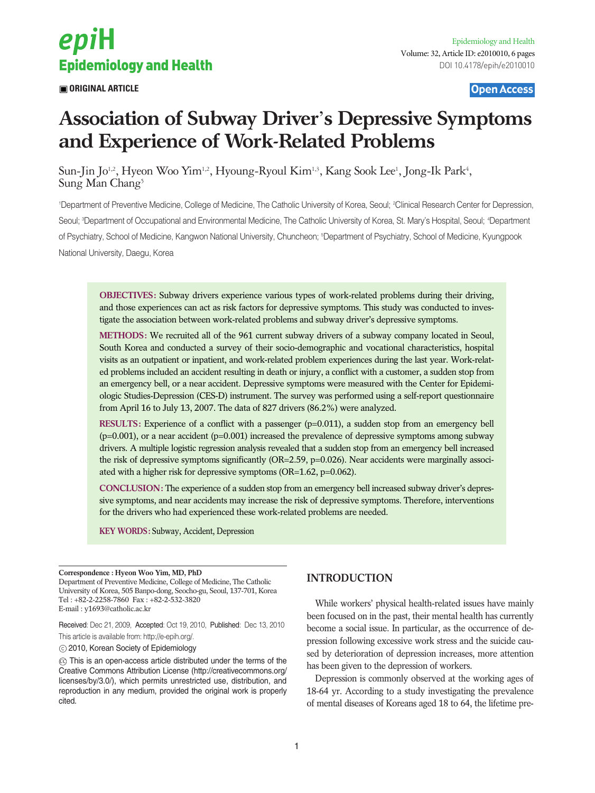

**ORIGINAL ARTICLE OPEN ACCESS** 

# **Association of Subway Driver**'**s Depressive Symptoms and Experience of Work-Related Problems**

Sun-Jin Jo<sup>1,2</sup>, Hyeon Woo Yim<sup>1,2</sup>, Hyoung-Ryoul Kim<sup>1,3</sup>, Kang Sook Lee<sup>1</sup>, Jong-Ik Park<sup>4</sup>, Sung Man Chang<sup>5</sup>

1 Department of Preventive Medicine, College of Medicine, The Catholic University of Korea, Seoul; 2 Clinical Research Center for Depression, Seoul; ªDepartment of Occupational and Environmental Medicine, The Catholic University of Korea, St. Mary's Hospital, Seoul; <del>ª</del>Department of Psychiatry, School of Medicine, Kangwon National University, Chuncheon; 5 Department of Psychiatry, School of Medicine, Kyungpook National University, Daegu, Korea

**OBJECTIVES:** Subway drivers experience various types of work-related problems during their driving, and those experiences can act as risk factors for depressive symptoms. This study was conducted to investigate the association between work-related problems and subway driver's depressive symptoms.

**METHODS:** We recruited all of the 961 current subway drivers of a subway company located in Seoul, South Korea and conducted a survey of their socio-demographic and vocational characteristics, hospital visits as an outpatient or inpatient, and work-related problem experiences during the last year. Work-related problems included an accident resulting in death or injury, a conflict with a customer, a sudden stop from an emergency bell, or a near accident. Depressive symptoms were measured with the Center for Epidemiologic Studies-Depression (CES-D) instrument. The survey was performed using a self-report questionnaire from April 16 to July 13, 2007. The data of 827 drivers (86.2%) were analyzed.

**RESULTS:** Experience of a conflict with a passenger (p=0.011), a sudden stop from an emergency bell  $(p=0.001)$ , or a near accident  $(p=0.001)$  increased the prevalence of depressive symptoms among subway drivers. A multiple logistic regression analysis revealed that a sudden stop from an emergency bell increased the risk of depressive symptoms significantly (OR=2.59, p=0.026). Near accidents were marginally associated with a higher risk for depressive symptoms (OR=1.62, p=0.062).

**CONCLUSION:** The experience of a sudden stop from an emergency bell increased subway driver's depressive symptoms, and near accidents may increase the risk of depressive symptoms. Therefore, interventions for the drivers who had experienced these work-related problems are needed.

**KEY WORDS:** Subway, Accident, Depression

**Correspondence : Hyeon Woo Yim, MD, PhD** Department of Preventive Medicine, College of Medicine, The Catholic University of Korea, 505 Banpo-dong, Seocho-gu, Seoul, 137-701, Korea Tel : +82-2-2258-7860 Fax : +82-2-532-3820 E-mail : y1693@catholic.ac.kr

Received: Dec 21, 2009, Accepted: Oct 19, 2010, Published: Dec 13, 2010 This article is available from: http://e-epih.org/.

2010, Korean Society of Epidemiology

 $\circledcirc$  This is an open-access article distributed under the terms of the Creative Commons Attribution License (http://creativecommons.org/ licenses/by/3.0/), which permits unrestricted use, distribution, and reproduction in any medium, provided the original work is properly cited.

## **INTRODUCTION**

While workers' physical health-related issues have mainly been focused on in the past, their mental health has currently become a social issue. In particular, as the occurrence of depression following excessive work stress and the suicide caused by deterioration of depression increases, more attention has been given to the depression of workers.

Depression is commonly observed at the working ages of 18-64 yr. According to a study investigating the prevalence of mental diseases of Koreans aged 18 to 64, the lifetime pre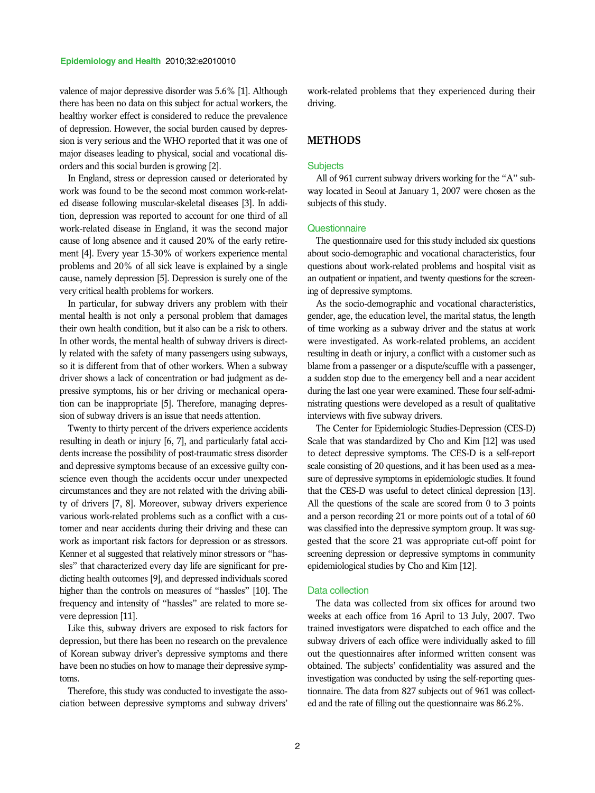valence of major depressive disorder was 5.6% [1]. Although there has been no data on this subject for actual workers, the healthy worker effect is considered to reduce the prevalence of depression. However, the social burden caused by depression is very serious and the WHO reported that it was one of major diseases leading to physical, social and vocational disorders and this social burden is growing [2].

In England, stress or depression caused or deteriorated by work was found to be the second most common work-related disease following muscular-skeletal diseases [3]. In addition, depression was reported to account for one third of all work-related disease in England, it was the second major cause of long absence and it caused 20% of the early retirement [4]. Every year 15-30% of workers experience mental problems and 20% of all sick leave is explained by a single cause, namely depression [5]. Depression is surely one of the very critical health problems for workers.

In particular, for subway drivers any problem with their mental health is not only a personal problem that damages their own health condition, but it also can be a risk to others. In other words, the mental health of subway drivers is directly related with the safety of many passengers using subways, so it is different from that of other workers. When a subway driver shows a lack of concentration or bad judgment as depressive symptoms, his or her driving or mechanical operation can be inappropriate [5]. Therefore, managing depression of subway drivers is an issue that needs attention.

Twenty to thirty percent of the drivers experience accidents resulting in death or injury [6, 7], and particularly fatal accidents increase the possibility of post-traumatic stress disorder and depressive symptoms because of an excessive guilty conscience even though the accidents occur under unexpected circumstances and they are not related with the driving ability of drivers [7, 8]. Moreover, subway drivers experience various work-related problems such as a conflict with a customer and near accidents during their driving and these can work as important risk factors for depression or as stressors. Kenner et al suggested that relatively minor stressors or "hassles" that characterized every day life are significant for predicting health outcomes [9], and depressed individuals scored higher than the controls on measures of "hassles" [10]. The frequency and intensity of "hassles" are related to more severe depression [11].

Like this, subway drivers are exposed to risk factors for depression, but there has been no research on the prevalence of Korean subway driver's depressive symptoms and there have been no studies on how to manage their depressive symptoms.

Therefore, this study was conducted to investigate the association between depressive symptoms and subway drivers' work-related problems that they experienced during their driving.

## **METHODS**

#### **Subjects**

All of 961 current subway drivers working for the "A" subway located in Seoul at January 1, 2007 were chosen as the subjects of this study.

## **Questionnaire**

The questionnaire used for this study included six questions about socio-demographic and vocational characteristics, four questions about work-related problems and hospital visit as an outpatient or inpatient, and twenty questions for the screening of depressive symptoms.

As the socio-demographic and vocational characteristics, gender, age, the education level, the marital status, the length of time working as a subway driver and the status at work were investigated. As work-related problems, an accident resulting in death or injury, a conflict with a customer such as blame from a passenger or a dispute/scuffle with a passenger, a sudden stop due to the emergency bell and a near accident during the last one year were examined. These four self-administrating questions were developed as a result of qualitative interviews with five subway drivers.

The Center for Epidemiologic Studies-Depression (CES-D) Scale that was standardized by Cho and Kim [12] was used to detect depressive symptoms. The CES-D is a self-report scale consisting of 20 questions, and it has been used as a measure of depressive symptoms in epidemiologic studies. It found that the CES-D was useful to detect clinical depression [13]. All the questions of the scale are scored from 0 to 3 points and a person recording 21 or more points out of a total of 60 was classified into the depressive symptom group. It was suggested that the score 21 was appropriate cut-off point for screening depression or depressive symptoms in community epidemiological studies by Cho and Kim [12].

## Data collection

The data was collected from six offices for around two weeks at each office from 16 April to 13 July, 2007. Two trained investigators were dispatched to each office and the subway drivers of each office were individually asked to fill out the questionnaires after informed written consent was obtained. The subjects' confidentiality was assured and the investigation was conducted by using the self-reporting questionnaire. The data from 827 subjects out of 961 was collected and the rate of filling out the questionnaire was 86.2%.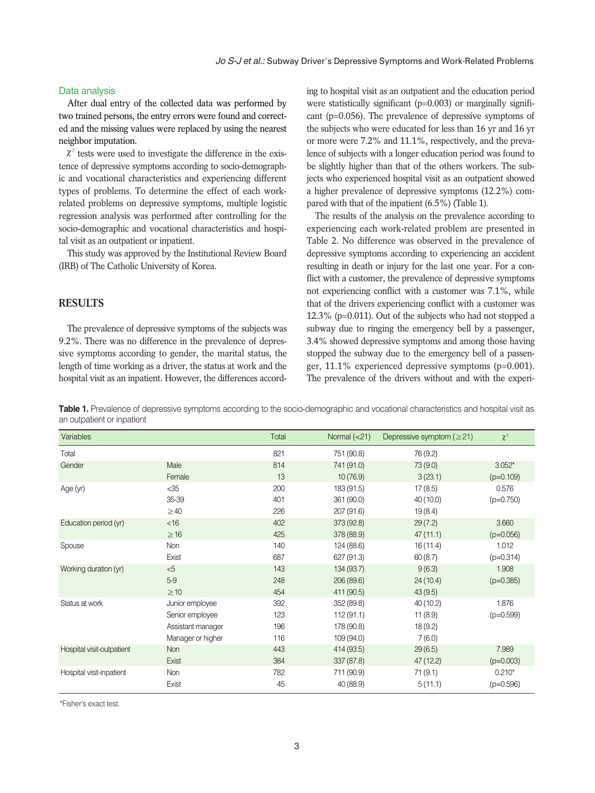## Data analysis

After dual entry of the collected data was performed by two trained persons, the entry errors were found and corrected and the missing values were replaced by using the nearest neighbor imputation.

 $\chi^2$  tests were used to investigate the difference in the existence of depressive symptoms according to socio-demographic and vocational characteristics and experiencing different types of problems. To determine the effect of each workrelated problems on depressive symptoms, multiple logistic regression analysis was performed after controlling for the socio-demographic and vocational characteristics and hospital visit as an outpatient or inpatient.

This study was approved by the Institutional Review Board (IRB) of The Catholic University of Korea.

## **RESULTS**

The prevalence of depressive symptoms of the subjects was 9.2%. There was no difference in the prevalence of depressive symptoms according to gender, the marital status, the length of time working as a driver, the status at work and the hospital visit as an inpatient. However, the differences according to hospital visit as an outpatient and the education period were statistically significant (p=0.003) or marginally significant (p=0.056). The prevalence of depressive symptoms of the subjects who were educated for less than 16 yr and 16 yr or more were 7.2% and 11.1%, respectively, and the prevalence of subjects with a longer education period was found to be slightly higher than that of the others workers. The subjects who experienced hospital visit as an outpatient showed a higher prevalence of depressive symptoms (12.2%) compared with that of the inpatient (6.5%) (Table 1).

The results of the analysis on the prevalence according to experiencing each work-related problem are presented in Table 2. No difference was observed in the prevalence of depressive symptoms according to experiencing an accident resulting in death or injury for the last one year. For a conflict with a customer, the prevalence of depressive symptoms not experiencing conflict with a customer was 7.1%, while that of the drivers experiencing conflict with a customer was 12.3% (p=0.011). Out of the subjects who had not stopped a subway due to ringing the emergency bell by a passenger, 3.4% showed depressive symptoms and among those having stopped the subway due to the emergency bell of a passenger, 11.1% experienced depressive symptoms (p=0.001). The prevalence of the drivers without and with the experi-

**Table 1.** Prevalence of depressive symptoms according to the socio-demographic and vocational characteristics and hospital visit as an outpatient or inpatient

| Variables                 |                   | Total | Normal $(21)$ | Depressive symptom ( $\geq$ 21) | $\chi^2$    |
|---------------------------|-------------------|-------|---------------|---------------------------------|-------------|
| Total                     |                   | 821   | 751 (90.8)    | 76 (9.2)                        |             |
| Gender                    | Male              | 814   | 741 (91.0)    | 73 (9.0)                        | $3.052*$    |
|                           | Female            | 13    | 10(76.9)      | 3(23.1)                         | $(p=0.109)$ |
| Age (yr)                  | $<$ 35            | 200   | 183 (91.5)    | 17(8.5)                         | 0.576       |
|                           | 35-39             | 401   | 361 (90.0)    | 40 (10.0)                       | $(p=0.750)$ |
|                           | $\geq$ 40         | 226   | 207 (91.6)    | 19(8.4)                         |             |
| Education period (yr)     | <16               | 402   | 373 (92.8)    | 29(7.2)                         | 3.660       |
|                           | $\geq$ 16         | 425   | 378 (88.9)    | 47(11.1)                        | $(p=0.056)$ |
| Spouse                    | Non               | 140   | 124 (88.6)    | 16(11.4)                        | 1.012       |
|                           | Exist             | 687   | 627 (91.3)    | 60(8.7)                         | $(p=0.314)$ |
| Working duration (yr)     | < 5               | 143   | 134 (93.7)    | 9(6.3)                          | 1.908       |
|                           | $5-9$             | 248   | 206 (89.6)    | 24(10.4)                        | $(p=0.385)$ |
|                           | $\geq$ 10         | 454   | 411 (90.5)    | 43(9.5)                         |             |
| Status at work            | Junior employee   | 392   | 352 (89.8)    | 40(10.2)                        | 1.876       |
|                           | Senior employee   | 123   | 112(91.1)     | 11(8.9)                         | $(p=0.599)$ |
|                           | Assistant manager | 196   | 178 (90.8)    | 18(9.2)                         |             |
|                           | Manager or higher | 116   | 109(94.0)     | 7(6.0)                          |             |
| Hospital visit-outpatient | Non               | 443   | 414 (93.5)    | 29(6.5)                         | 7.989       |
|                           | Exist             | 384   | 337 (87.8)    | 47 (12.2)                       | $(p=0.003)$ |
| Hospital visit-inpatient  | Non               | 782   | 711 (90.9)    | 71(9.1)                         | $0.210*$    |
|                           | Exist             | 45    | 40 (88.9)     | 5(11.1)                         | $(p=0.596)$ |

\*Fisher's exact test.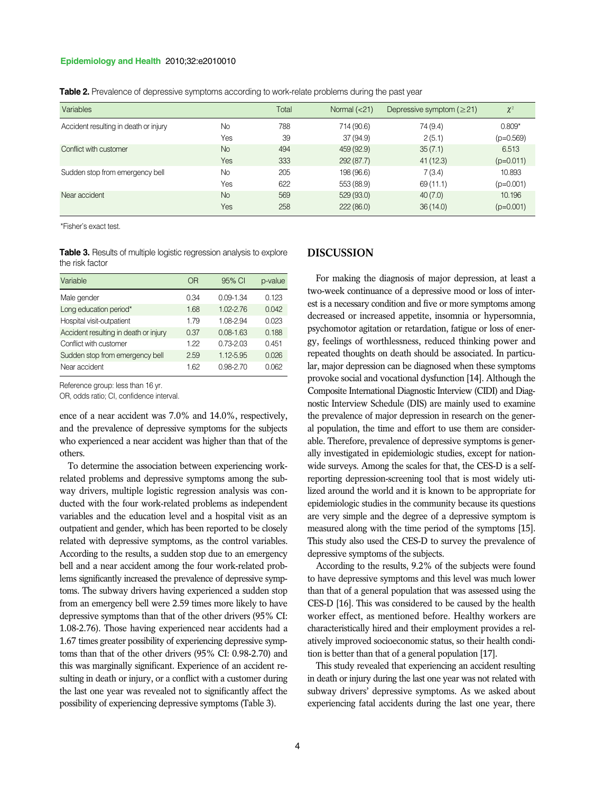### **Epidemiology and Health** 2010;32:e2010010

| Table 2. Prevalence of depressive symptoms according to work-relate problems during the past year |  |  |  |
|---------------------------------------------------------------------------------------------------|--|--|--|
|---------------------------------------------------------------------------------------------------|--|--|--|

| <b>Variables</b>                      |           | Total | Normal $(21)$ | Depressive symptom $(≥21)$ | $\chi^2$    |
|---------------------------------------|-----------|-------|---------------|----------------------------|-------------|
| Accident resulting in death or injury | <b>No</b> | 788   | 714 (90.6)    | 74 (9.4)                   | $0.809*$    |
|                                       | Yes       | 39    | 37 (94.9)     | 2(5.1)                     | $(p=0.569)$ |
| Conflict with customer                | <b>No</b> | 494   | 459 (92.9)    | 35(7.1)                    | 6.513       |
|                                       | Yes       | 333   | 292(87.7)     | 41(12.3)                   | $(p=0.011)$ |
| Sudden stop from emergency bell       | No        | 205   | 198 (96.6)    | 7(3.4)                     | 10.893      |
|                                       | Yes       | 622   | 553 (88.9)    | 69(11.1)                   | $(p=0.001)$ |
| Near accident                         | <b>No</b> | 569   | 529(93.0)     | 40(7.0)                    | 10.196      |
|                                       | Yes       | 258   | 222(86.0)     | 36(14.0)                   | $(p=0.001)$ |

\*Fisher's exact test.

**Table 3.** Results of multiple logistic regression analysis to explore the risk factor

| Variable                              | ΟR   | 95% CI        | p-value |
|---------------------------------------|------|---------------|---------|
| Male gender                           | 0.34 | $0.09 - 1.34$ | 0.123   |
| Long education period*                | 1.68 | 1.02-2.76     | 0.042   |
| Hospital visit-outpatient             | 179  | 1.08-2.94     | 0.023   |
| Accident resulting in death or injury | 0.37 | $0.08 - 1.63$ | 0.188   |
| Conflict with customer                | 122  | $0.73 - 2.03$ | 0.451   |
| Sudden stop from emergency bell       | 2.59 | 1.12-5.95     | 0.026   |
| Near accident                         | 162  | $0.98 - 2.70$ | N 062   |

Reference group: less than 16 yr.

OR, odds ratio; CI, confidence interval.

ence of a near accident was 7.0% and 14.0%, respectively, and the prevalence of depressive symptoms for the subjects who experienced a near accident was higher than that of the others.

To determine the association between experiencing workrelated problems and depressive symptoms among the subway drivers, multiple logistic regression analysis was conducted with the four work-related problems as independent variables and the education level and a hospital visit as an outpatient and gender, which has been reported to be closely related with depressive symptoms, as the control variables. According to the results, a sudden stop due to an emergency bell and a near accident among the four work-related problems significantly increased the prevalence of depressive symptoms. The subway drivers having experienced a sudden stop from an emergency bell were 2.59 times more likely to have depressive symptoms than that of the other drivers (95% CI: 1.08-2.76). Those having experienced near accidents had a 1.67 times greater possibility of experiencing depressive symptoms than that of the other drivers (95% CI: 0.98-2.70) and this was marginally significant. Experience of an accident resulting in death or injury, or a conflict with a customer during the last one year was revealed not to significantly affect the possibility of experiencing depressive symptoms (Table 3).

## **DISCUSSION**

For making the diagnosis of major depression, at least a two-week continuance of a depressive mood or loss of interest is a necessary condition and five or more symptoms among decreased or increased appetite, insomnia or hypersomnia, psychomotor agitation or retardation, fatigue or loss of energy, feelings of worthlessness, reduced thinking power and repeated thoughts on death should be associated. In particular, major depression can be diagnosed when these symptoms provoke social and vocational dysfunction [14]. Although the Composite International Diagnostic Interview (CIDI) and Diagnostic Interview Schedule (DIS) are mainly used to examine the prevalence of major depression in research on the general population, the time and effort to use them are considerable. Therefore, prevalence of depressive symptoms is generally investigated in epidemiologic studies, except for nationwide surveys. Among the scales for that, the CES-D is a selfreporting depression-screening tool that is most widely utilized around the world and it is known to be appropriate for epidemiologic studies in the community because its questions are very simple and the degree of a depressive symptom is measured along with the time period of the symptoms [15]. This study also used the CES-D to survey the prevalence of depressive symptoms of the subjects.

According to the results, 9.2% of the subjects were found to have depressive symptoms and this level was much lower than that of a general population that was assessed using the CES-D [16]. This was considered to be caused by the health worker effect, as mentioned before. Healthy workers are characteristically hired and their employment provides a relatively improved socioeconomic status, so their health condition is better than that of a general population [17].

This study revealed that experiencing an accident resulting in death or injury during the last one year was not related with subway drivers' depressive symptoms. As we asked about experiencing fatal accidents during the last one year, there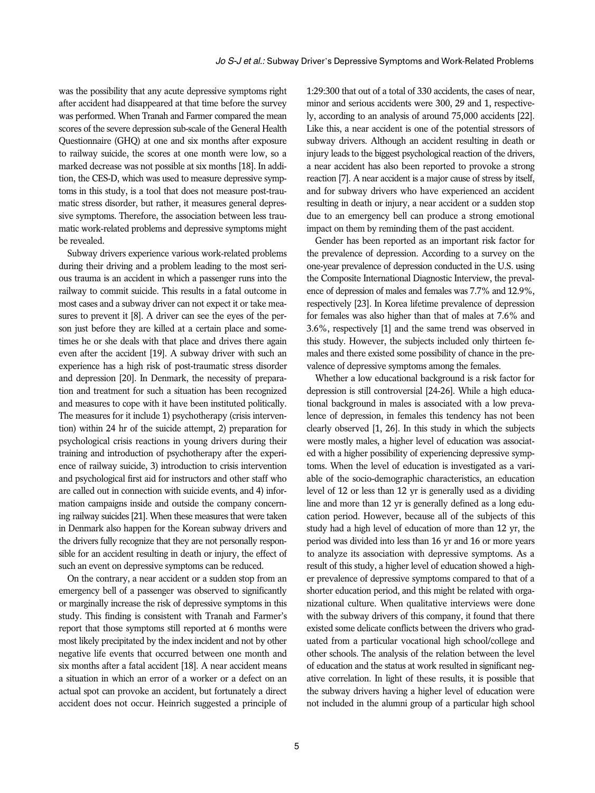was the possibility that any acute depressive symptoms right after accident had disappeared at that time before the survey was performed. When Tranah and Farmer compared the mean scores of the severe depression sub-scale of the General Health Questionnaire (GHQ) at one and six months after exposure to railway suicide, the scores at one month were low, so a marked decrease was not possible at six months [18]. In addition, the CES-D, which was used to measure depressive symptoms in this study, is a tool that does not measure post-traumatic stress disorder, but rather, it measures general depressive symptoms. Therefore, the association between less traumatic work-related problems and depressive symptoms might be revealed.

Subway drivers experience various work-related problems during their driving and a problem leading to the most serious trauma is an accident in which a passenger runs into the railway to commit suicide. This results in a fatal outcome in most cases and a subway driver can not expect it or take measures to prevent it [8]. A driver can see the eyes of the person just before they are killed at a certain place and sometimes he or she deals with that place and drives there again even after the accident [19]. A subway driver with such an experience has a high risk of post-traumatic stress disorder and depression [20]. In Denmark, the necessity of preparation and treatment for such a situation has been recognized and measures to cope with it have been instituted politically. The measures for it include 1) psychotherapy (crisis intervention) within 24 hr of the suicide attempt, 2) preparation for psychological crisis reactions in young drivers during their training and introduction of psychotherapy after the experience of railway suicide, 3) introduction to crisis intervention and psychological first aid for instructors and other staff who are called out in connection with suicide events, and 4) information campaigns inside and outside the company concerning railway suicides [21]. When these measures that were taken in Denmark also happen for the Korean subway drivers and the drivers fully recognize that they are not personally responsible for an accident resulting in death or injury, the effect of such an event on depressive symptoms can be reduced.

On the contrary, a near accident or a sudden stop from an emergency bell of a passenger was observed to significantly or marginally increase the risk of depressive symptoms in this study. This finding is consistent with Tranah and Farmer's report that those symptoms still reported at 6 months were most likely precipitated by the index incident and not by other negative life events that occurred between one month and six months after a fatal accident [18]. A near accident means a situation in which an error of a worker or a defect on an actual spot can provoke an accident, but fortunately a direct accident does not occur. Heinrich suggested a principle of

1:29:300 that out of a total of 330 accidents, the cases of near, minor and serious accidents were 300, 29 and 1, respectively, according to an analysis of around 75,000 accidents [22]. Like this, a near accident is one of the potential stressors of subway drivers. Although an accident resulting in death or injury leads to the biggest psychological reaction of the drivers, a near accident has also been reported to provoke a strong reaction [7]. A near accident is a major cause of stress by itself, and for subway drivers who have experienced an accident resulting in death or injury, a near accident or a sudden stop due to an emergency bell can produce a strong emotional impact on them by reminding them of the past accident.

Gender has been reported as an important risk factor for the prevalence of depression. According to a survey on the one-year prevalence of depression conducted in the U.S. using the Composite International Diagnostic Interview, the prevalence of depression of males and females was 7.7% and 12.9%, respectively [23]. In Korea lifetime prevalence of depression for females was also higher than that of males at 7.6% and 3.6%, respectively [1] and the same trend was observed in this study. However, the subjects included only thirteen females and there existed some possibility of chance in the prevalence of depressive symptoms among the females.

Whether a low educational background is a risk factor for depression is still controversial [24-26]. While a high educational background in males is associated with a low prevalence of depression, in females this tendency has not been clearly observed [1, 26]. In this study in which the subjects were mostly males, a higher level of education was associated with a higher possibility of experiencing depressive symptoms. When the level of education is investigated as a variable of the socio-demographic characteristics, an education level of 12 or less than 12 yr is generally used as a dividing line and more than 12 yr is generally defined as a long education period. However, because all of the subjects of this study had a high level of education of more than 12 yr, the period was divided into less than 16 yr and 16 or more years to analyze its association with depressive symptoms. As a result of this study, a higher level of education showed a higher prevalence of depressive symptoms compared to that of a shorter education period, and this might be related with organizational culture. When qualitative interviews were done with the subway drivers of this company, it found that there existed some delicate conflicts between the drivers who graduated from a particular vocational high school/college and other schools. The analysis of the relation between the level of education and the status at work resulted in significant negative correlation. In light of these results, it is possible that the subway drivers having a higher level of education were not included in the alumni group of a particular high school